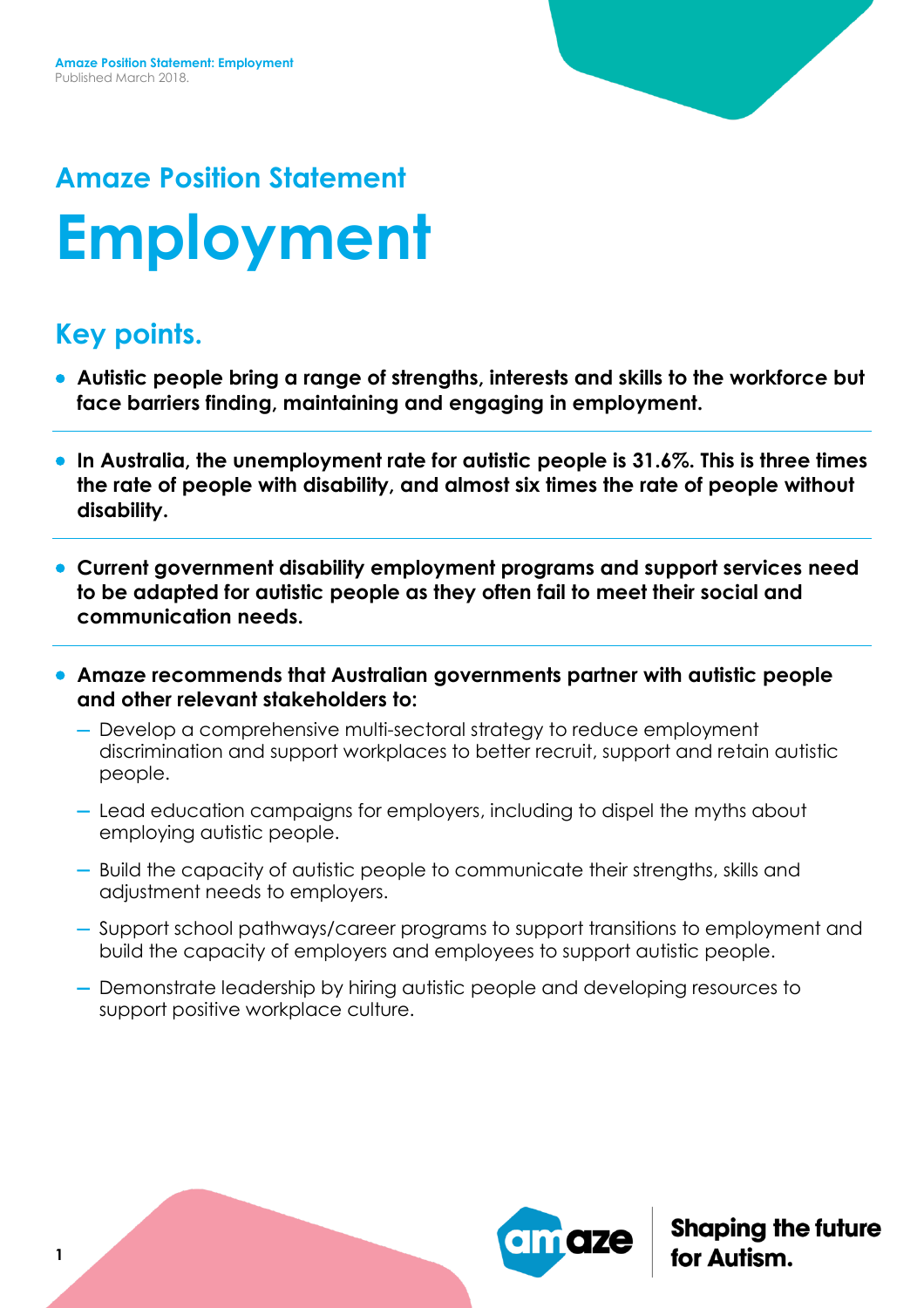# **Amaze Position Statement Employment**

## **Key points.**

- **Autistic people bring a range of strengths, interests and skills to the workforce but face barriers finding, maintaining and engaging in employment.**
- **In Australia, the unemployment rate for autistic people is 31.6%. This is three times the rate of people with disability, and almost six times the rate of people without disability.**
- **Current government disability employment programs and support services need to be adapted for autistic people as they often fail to meet their social and communication needs.**
- **Amaze recommends that Australian governments partner with autistic people and other relevant stakeholders to:**
	- Develop a comprehensive multi-sectoral strategy to reduce employment discrimination and support workplaces to better recruit, support and retain autistic people.
	- Lead education campaigns for employers, including to dispel the myths about employing autistic people.
	- Build the capacity of autistic people to communicate their strengths, skills and adjustment needs to employers.
	- Support school pathways/career programs to support transitions to employment and build the capacity of employers and employees to support autistic people.
	- Demonstrate leadership by hiring autistic people and developing resources to support positive workplace culture.



**Shaping the future**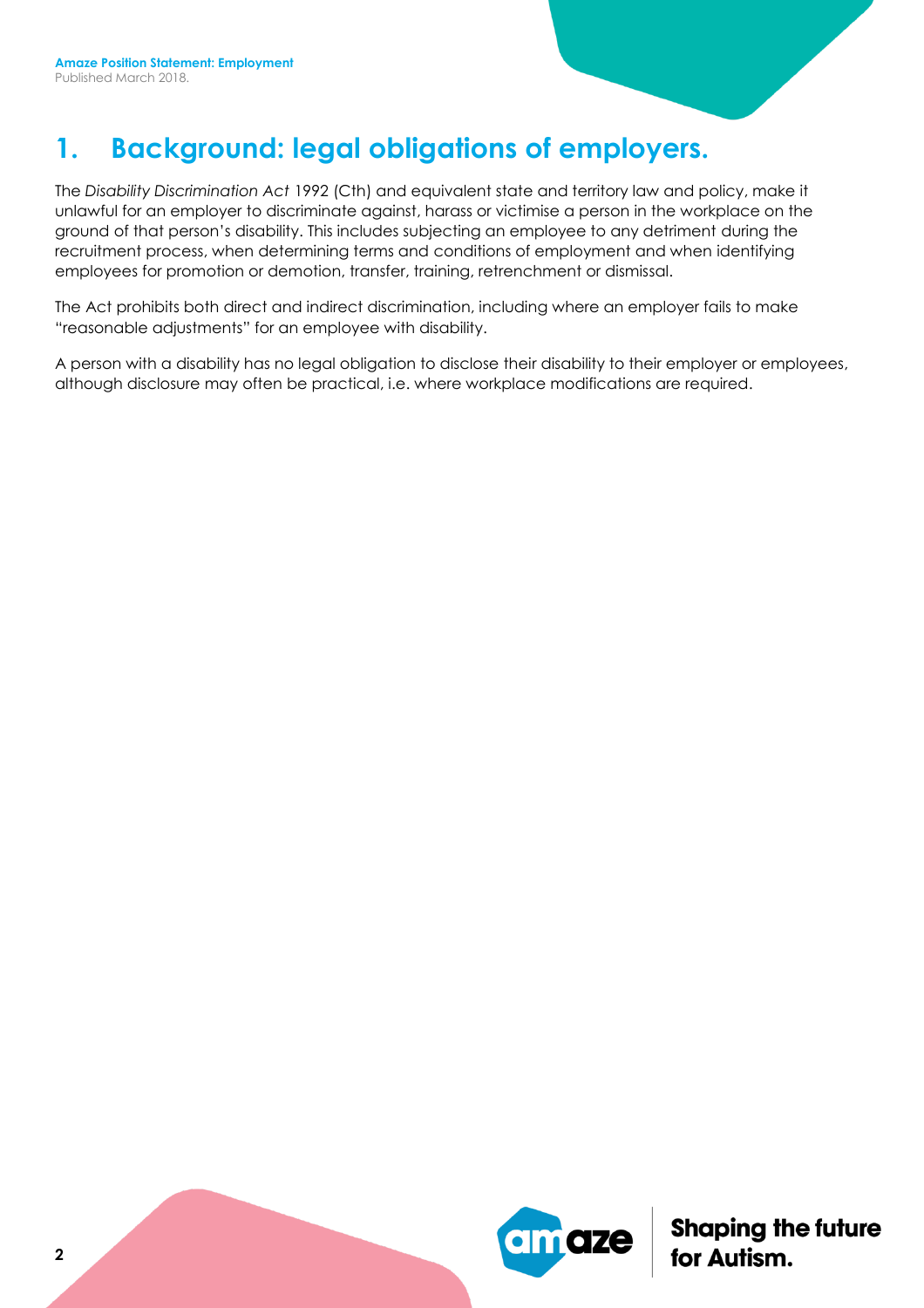# **1. Background: legal obligations of employers.**

The *Disability Discrimination Act* 1992 (Cth) and equivalent state and territory law and policy, make it unlawful for an employer to discriminate against, harass or victimise a person in the workplace on the ground of that person's disability. This includes subjecting an employee to any detriment during the recruitment process, when determining terms and conditions of employment and when identifying employees for promotion or demotion, transfer, training, retrenchment or dismissal.

The Act prohibits both direct and indirect discrimination, including where an employer fails to make "reasonable adjustments" for an employee with disability.

A person with a disability has no legal obligation to disclose their disability to their employer or employees, although disclosure may often be practical, i.e. where workplace modifications are required.

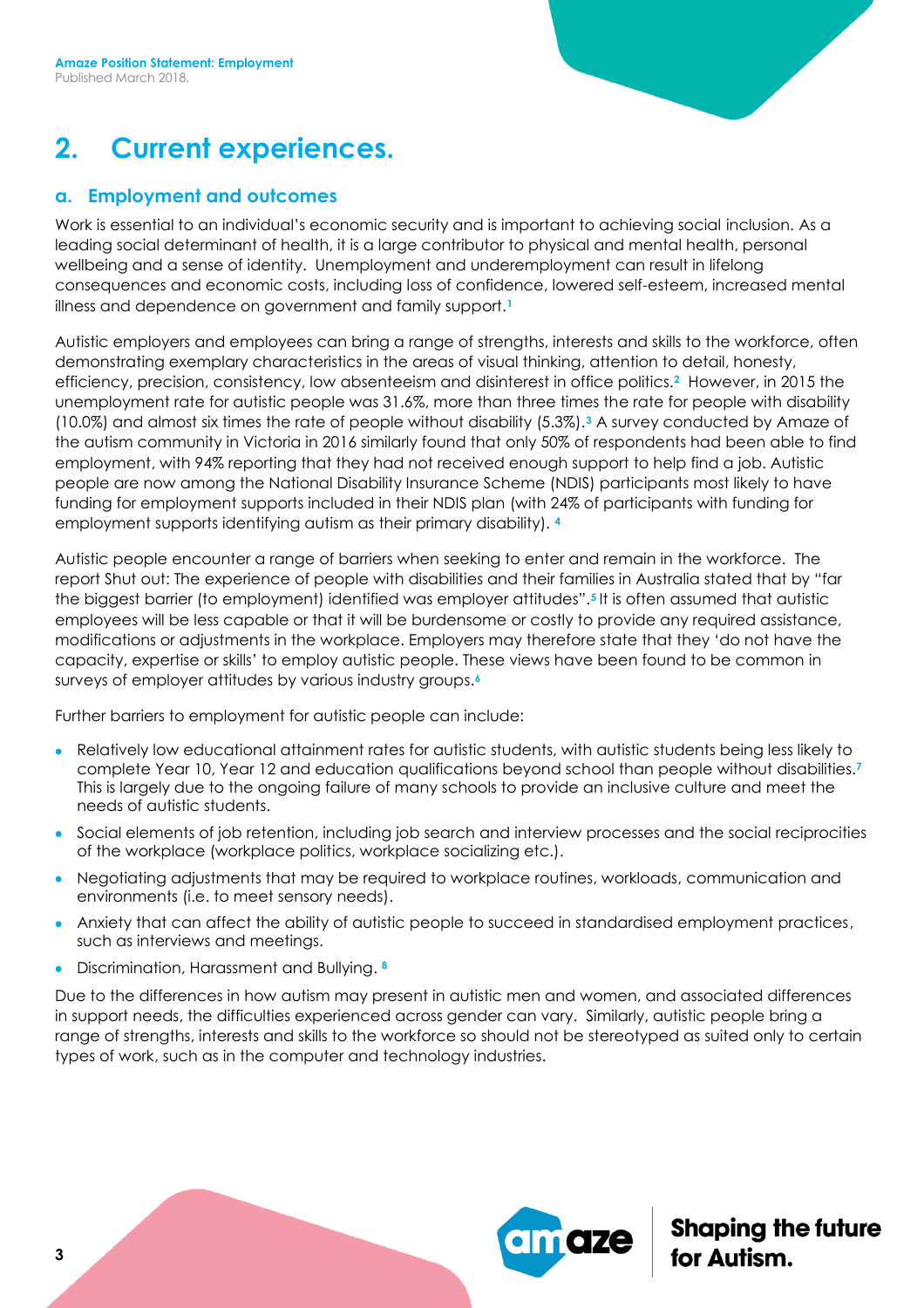## **2. Current experiences.**

#### **a. Employment and outcomes**

Work is essential to an individual's economic security and is important to achieving social inclusion. As a leading social determinant of health, it is a large contributor to physical and mental health, personal wellbeing and a sense of identity. Unemployment and underemployment can result in lifelong consequences and economic costs, including loss of confidence, lowered self-esteem, increased mental illness and dependence on government and family support.**<sup>1</sup>**

Autistic employers and employees can bring a range of strengths, interests and skills to the workforce, often demonstrating exemplary characteristics in the areas of visual thinking, attention to detail, honesty, efficiency, precision, consistency, low absenteeism and disinterest in office politics.**<sup>2</sup>** However, in 2015 the unemployment rate for autistic people was 31.6%, more than three times the rate for people with disability (10.0%) and almost six times the rate of people without disability (5.3%).**<sup>3</sup>** A survey conducted by Amaze of the autism community in Victoria in 2016 similarly found that only 50% of respondents had been able to find employment, with 94% reporting that they had not received enough support to help find a job. Autistic people are now among the National Disability Insurance Scheme (NDIS) participants most likely to have funding for employment supports included in their NDIS plan (with 24% of participants with funding for employment supports identifying autism as their primary disability). **<sup>4</sup>**

Autistic people encounter a range of barriers when seeking to enter and remain in the workforce. The report Shut out: The experience of people with disabilities and their families in Australia stated that by "far the biggest barrier (to employment) identified was employer attitudes".**<sup>5</sup>** It is often assumed that autistic employees will be less capable or that it will be burdensome or costly to provide any required assistance, modifications or adjustments in the workplace. Employers may therefore state that they 'do not have the capacity, expertise or skills' to employ autistic people. These views have been found to be common in surveys of employer attitudes by various industry groups.**<sup>6</sup>**

Further barriers to employment for autistic people can include:

- Relatively low educational attainment rates for autistic students, with autistic students being less likely to complete Year 10, Year 12 and education qualifications beyond school than people without disabilities.**<sup>7</sup>** This is largely due to the ongoing failure of many schools to provide an inclusive culture and meet the needs of autistic students.
- Social elements of job retention, including job search and interview processes and the social reciprocities of the workplace (workplace politics, workplace socializing etc.).
- Negotiating adjustments that may be required to workplace routines, workloads, communication and environments (i.e. to meet sensory needs).
- Anxiety that can affect the ability of autistic people to succeed in standardised employment practices, such as interviews and meetings.
- Discrimination, Harassment and Bullying. **8**

Due to the differences in how autism may present in autistic men and women, and associated differences in support needs, the difficulties experienced across gender can vary. Similarly, autistic people bring a range of strengths, interests and skills to the workforce so should not be stereotyped as suited only to certain types of work, such as in the computer and technology industries.

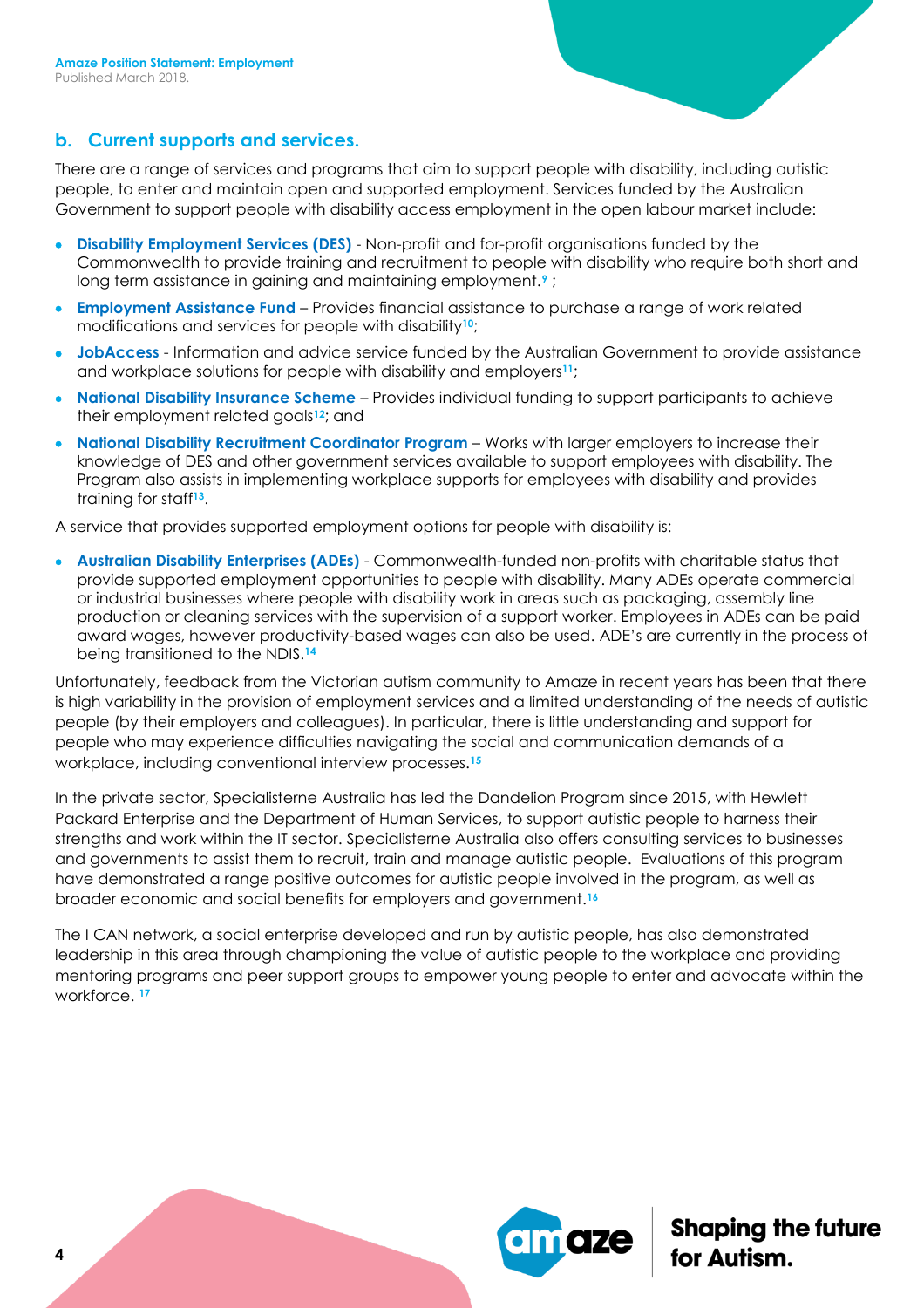#### **b. Current supports and services.**

There are a range of services and programs that aim to support people with disability, including autistic people, to enter and maintain open and supported employment. Services funded by the Australian Government to support people with disability access employment in the open labour market include:

- **Disability Employment Services (DES)** Non-profit and for-profit organisations funded by the Commonwealth to provide training and recruitment to people with disability who require both short and long term assistance in gaining and maintaining employment.**<sup>9</sup>** ;
- **Employment Assistance Fund** Provides financial assistance to purchase a range of work related modifications and services for people with disability**10**;
- **JobAccess** Information and advice service funded by the Australian Government to provide assistance and workplace solutions for people with disability and employers**11**;
- **National Disability Insurance Scheme**  Provides individual funding to support participants to achieve their employment related goals**12**; and
- **National Disability Recruitment Coordinator Program** Works with larger employers to increase their knowledge of DES and other government services available to support employees with disability. The Program also assists in implementing workplace supports for employees with disability and provides training for staff**13**.

A service that provides supported employment options for people with disability is:

 **Australian Disability Enterprises (ADEs)** - Commonwealth-funded non-profits with charitable status that provide supported employment opportunities to people with disability. Many ADEs operate commercial or industrial businesses where people with disability work in areas such as packaging, assembly line production or cleaning services with the supervision of a support worker. Employees in ADEs can be paid award wages, however productivity-based wages can also be used. ADE's are currently in the process of being transitioned to the NDIS.**<sup>14</sup>**

Unfortunately, feedback from the Victorian autism community to Amaze in recent years has been that there is high variability in the provision of employment services and a limited understanding of the needs of autistic people (by their employers and colleagues). In particular, there is little understanding and support for people who may experience difficulties navigating the social and communication demands of a workplace, including conventional interview processes.**<sup>15</sup>**

In the private sector, Specialisterne Australia has led the Dandelion Program since 2015, with Hewlett Packard Enterprise and the Department of Human Services, to support autistic people to harness their strengths and work within the IT sector. Specialisterne Australia also offers consulting services to businesses and governments to assist them to recruit, train and manage autistic people. Evaluations of this program have demonstrated a range positive outcomes for autistic people involved in the program, as well as broader economic and social benefits for employers and government.**<sup>16</sup>**

The I CAN network, a social enterprise developed and run by autistic people, has also demonstrated leadership in this area through championing the value of autistic people to the workplace and providing mentoring programs and peer support groups to empower young people to enter and advocate within the workforce. **17**

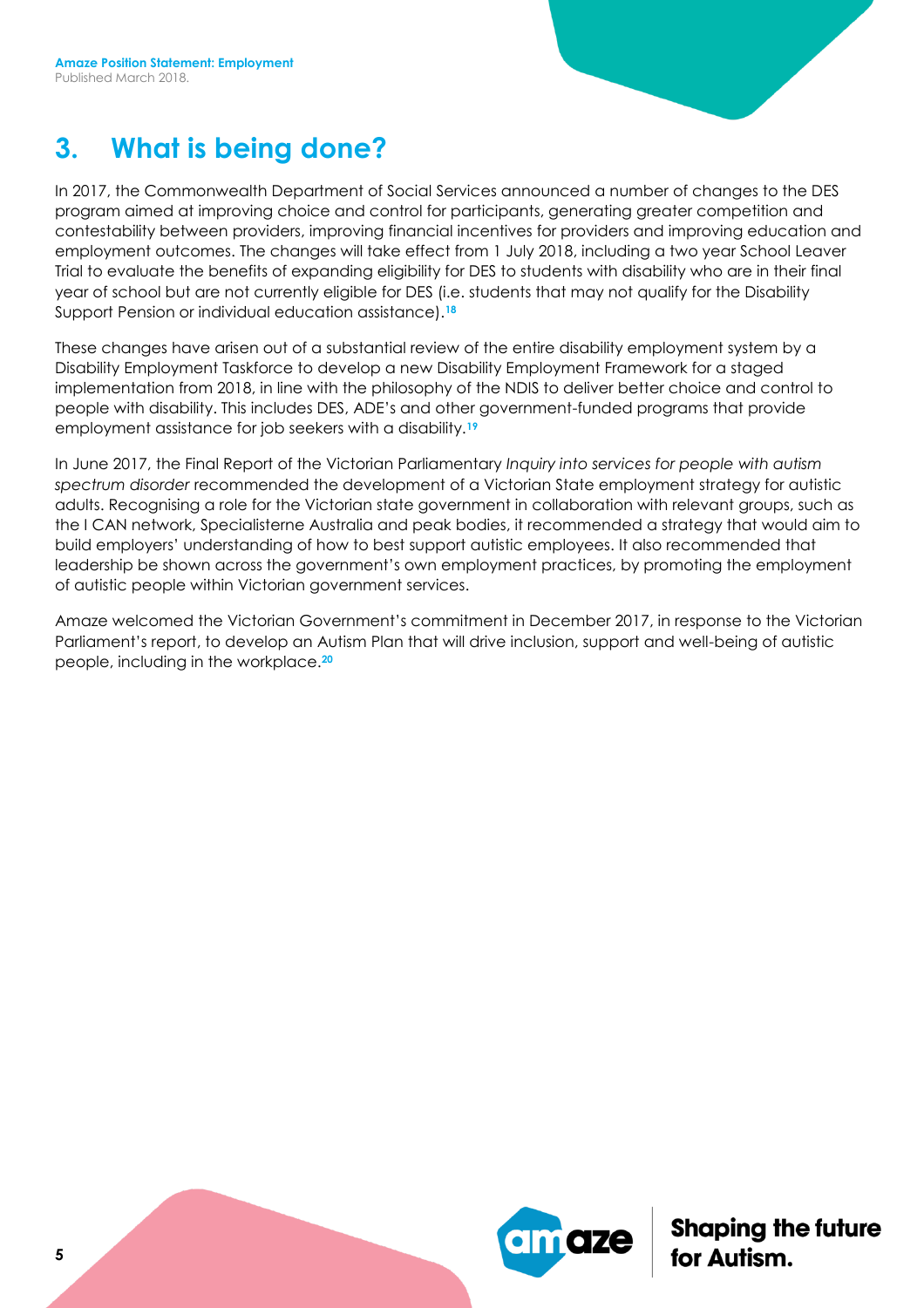#### **3. What is being done?**

In 2017, the Commonwealth Department of Social Services announced a number of changes to the DES program aimed at improving choice and control for participants, generating greater competition and contestability between providers, improving financial incentives for providers and improving education and employment outcomes. The changes will take effect from 1 July 2018, including a two year School Leaver Trial to evaluate the benefits of expanding eligibility for DES to students with disability who are in their final year of school but are not currently eligible for DES (i.e. students that may not qualify for the Disability Support Pension or individual education assistance).**<sup>18</sup>**

These changes have arisen out of a substantial review of the entire disability employment system by a Disability Employment Taskforce to develop a new Disability Employment Framework for a staged implementation from 2018, in line with the philosophy of the NDIS to deliver better choice and control to people with disability. This includes DES, ADE's and other government-funded programs that provide employment assistance for job seekers with a disability.**<sup>19</sup>**

In June 2017, the Final Report of the Victorian Parliamentary *Inquiry into services for people with autism spectrum disorder* recommended the development of a Victorian State employment strategy for autistic adults. Recognising a role for the Victorian state government in collaboration with relevant groups, such as the I CAN network, Specialisterne Australia and peak bodies, it recommended a strategy that would aim to build employers' understanding of how to best support autistic employees. It also recommended that leadership be shown across the government's own employment practices, by promoting the employment of autistic people within Victorian government services.

Amaze welcomed the Victorian Government's commitment in December 2017, in response to the Victorian Parliament's report, to develop an Autism Plan that will drive inclusion, support and well-being of autistic people, including in the workplace.**20**

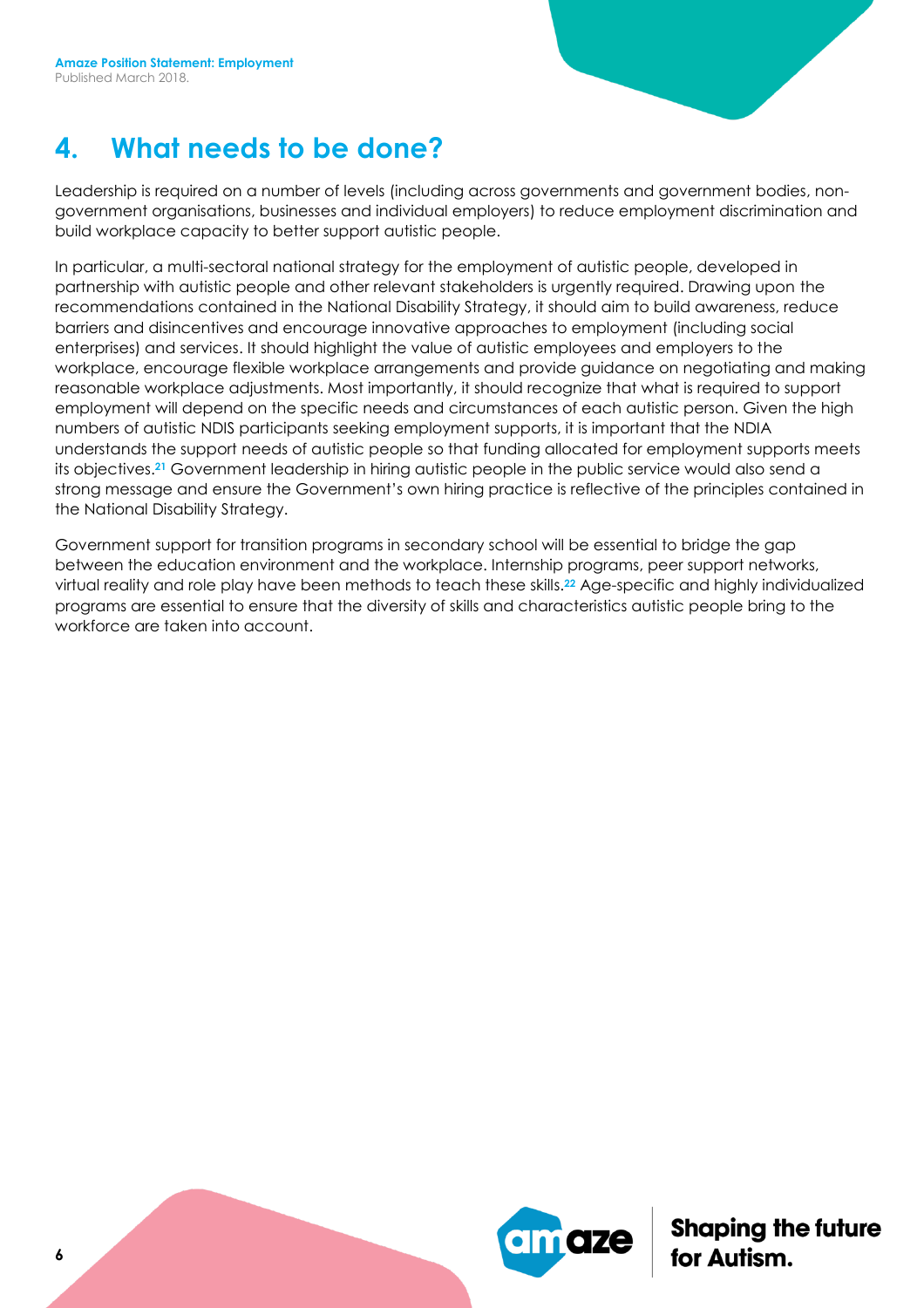#### **4. What needs to be done?**

Leadership is required on a number of levels (including across governments and government bodies, nongovernment organisations, businesses and individual employers) to reduce employment discrimination and build workplace capacity to better support autistic people.

In particular, a multi-sectoral national strategy for the employment of autistic people, developed in partnership with autistic people and other relevant stakeholders is urgently required. Drawing upon the recommendations contained in the National Disability Strategy, it should aim to build awareness, reduce barriers and disincentives and encourage innovative approaches to employment (including social enterprises) and services. It should highlight the value of autistic employees and employers to the workplace, encourage flexible workplace arrangements and provide guidance on negotiating and making reasonable workplace adjustments. Most importantly, it should recognize that what is required to support employment will depend on the specific needs and circumstances of each autistic person. Given the high numbers of autistic NDIS participants seeking employment supports, it is important that the NDIA understands the support needs of autistic people so that funding allocated for employment supports meets its objectives.**<sup>21</sup>** Government leadership in hiring autistic people in the public service would also send a strong message and ensure the Government's own hiring practice is reflective of the principles contained in the National Disability Strategy.

Government support for transition programs in secondary school will be essential to bridge the gap between the education environment and the workplace. Internship programs, peer support networks, virtual reality and role play have been methods to teach these skills.**<sup>22</sup>** Age-specific and highly individualized programs are essential to ensure that the diversity of skills and characteristics autistic people bring to the workforce are taken into account.

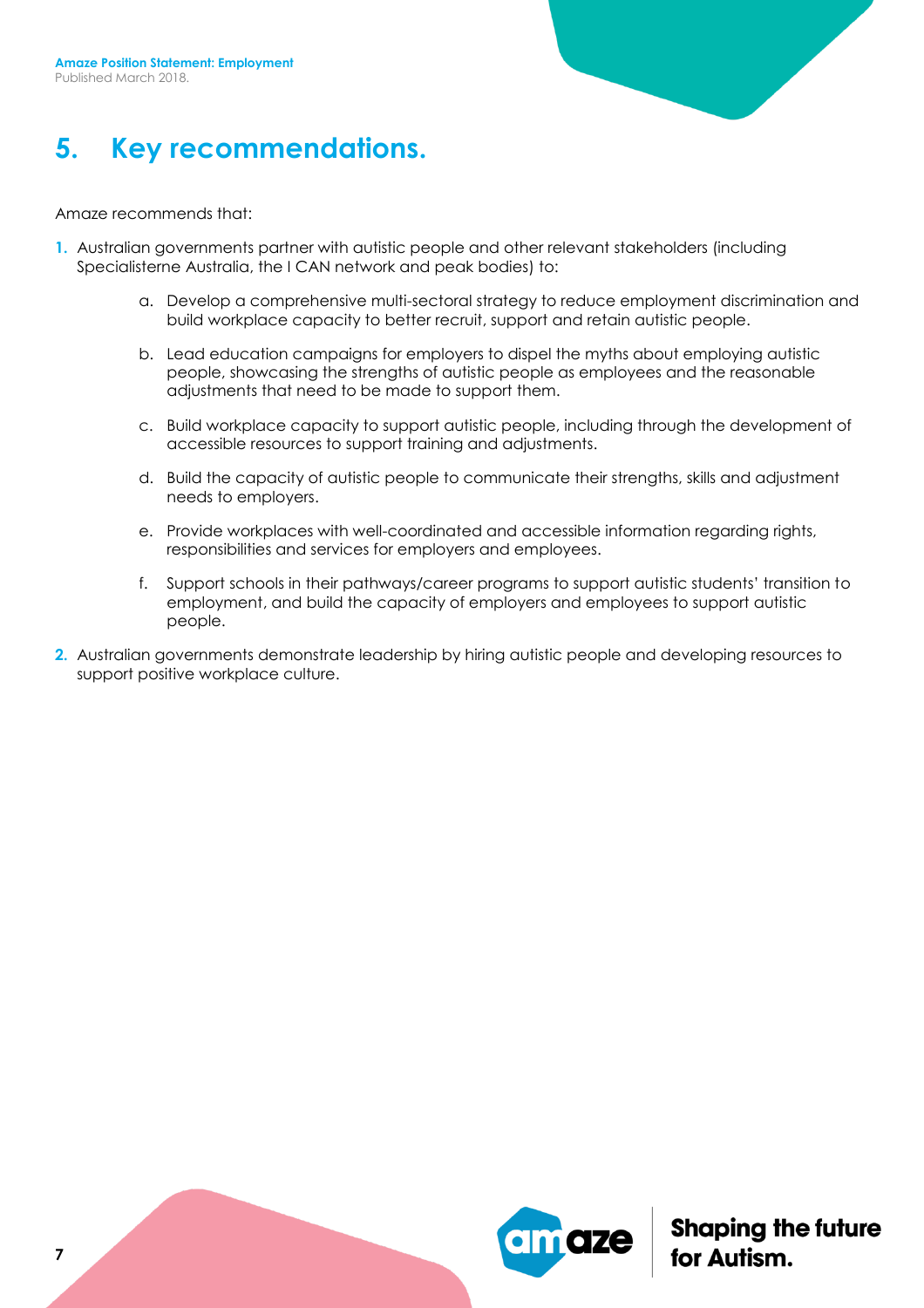

#### **5. Key recommendations.**

#### Amaze recommends that:

- **1.** Australian governments partner with autistic people and other relevant stakeholders (including Specialisterne Australia, the I CAN network and peak bodies) to:
	- a. Develop a comprehensive multi-sectoral strategy to reduce employment discrimination and build workplace capacity to better recruit, support and retain autistic people.
	- b. Lead education campaigns for employers to dispel the myths about employing autistic people, showcasing the strengths of autistic people as employees and the reasonable adjustments that need to be made to support them.
	- c. Build workplace capacity to support autistic people, including through the development of accessible resources to support training and adjustments.
	- d. Build the capacity of autistic people to communicate their strengths, skills and adjustment needs to employers.
	- e. Provide workplaces with well-coordinated and accessible information regarding rights, responsibilities and services for employers and employees.
	- f. Support schools in their pathways/career programs to support autistic students' transition to employment, and build the capacity of employers and employees to support autistic people.
- **2.** Australian governments demonstrate leadership by hiring autistic people and developing resources to support positive workplace culture.

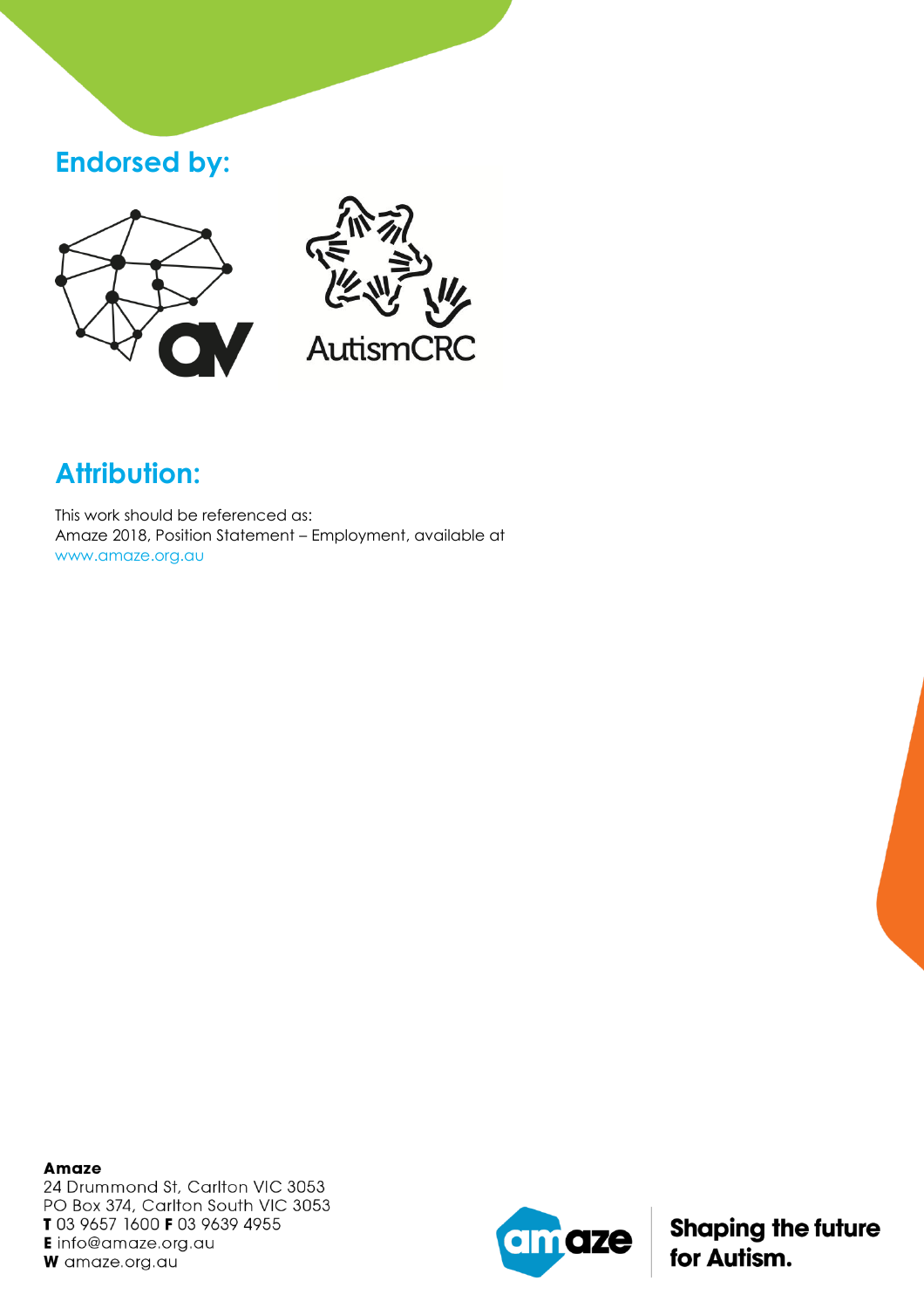#### **Endorsed by:**





# **Attribution:**

This work should be referenced as: Amaze 2018, Position Statement – Employment, available at www.amaze.org.au

**Amaze** 24 Drummond St, Carlton VIC 3053 PO Box 374, Carlton South VIC 3053 T 03 9657 1600 F 03 9639 4955 **E** info@amaze.org.au W amaze.org.au